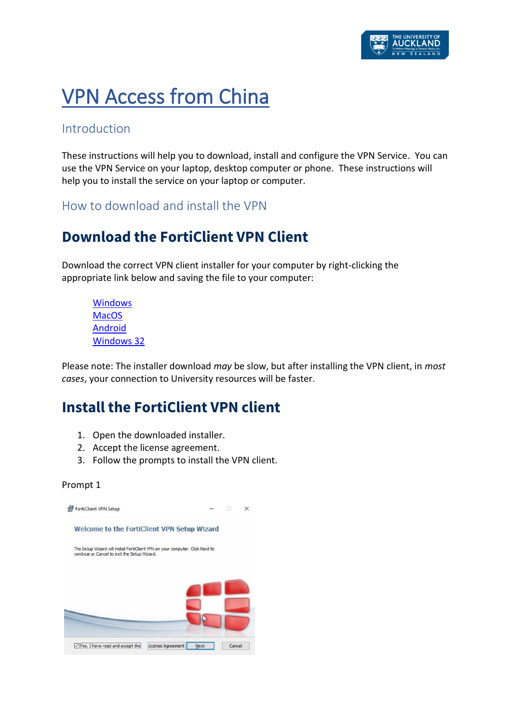# VPN Access from China

### Introduction

These instructions will help you to download, install and configure the VPN Service. You can use the VPN Service on your laptop, desktop computer or phone. These instructions will help you to install the service on your laptop or computer.

How to download and install the VPN

# **Download the FortiClient VPN Client**

Download the correct VPN client installer for your computer by right-clicking the appropriate link below and saving the file to your computer:

[Windows](https://uniauckland.oss-cn-hangzhou.aliyuncs.com/FortiClientVPNSetup_6.2.4.0931_x64.exe) **[MacOS](https://uniauckland.oss-cn-hangzhou.aliyuncs.com/FortiClientVPNSetup_6.2.4.724_macosx.dmg)** [Android](https://uniauckland.oss-cn-hangzhou.aliyuncs.com/FortiClient_vpn-v6.2.2-build0312-release.apk) [Windows 32](https://uniauckland.oss-cn-hangzhou.aliyuncs.com/FortiClientVPNSetup_6.2.4.0931.exe)

Please note: The installer download *may* be slow, but after installing the VPN client, in *most cases*, your connection to University resources will be faster.

# **Install the FortiClient VPN client**

- 1. Open the downloaded installer.
- 2. Accept the license agreement.
- 3. Follow the prompts to install the VPN client.

### Prompt 1

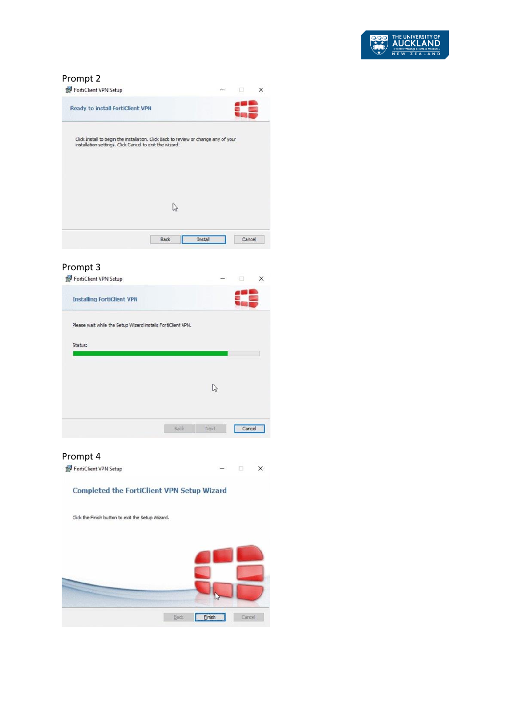

### Prompt 2

| FortiClient VPN Setup                                                                                                                          |      |         |        |  |
|------------------------------------------------------------------------------------------------------------------------------------------------|------|---------|--------|--|
| <b>Ready to install FortiClient VPN</b>                                                                                                        |      |         |        |  |
| Click Install to begin the installation. Click Back to review or change any of your<br>installation settings. Click Cancel to exit the wizard. |      |         |        |  |
|                                                                                                                                                |      |         |        |  |
|                                                                                                                                                |      |         |        |  |
|                                                                                                                                                | Back | Install | Cancel |  |

### Prompt 3

| <b>Installing FortiClient VPN</b>                            |             |       |        |  |
|--------------------------------------------------------------|-------------|-------|--------|--|
| Please wait while the Setup Wizard installs FortiClient VPN. |             |       |        |  |
| Status:                                                      |             |       |        |  |
|                                                              |             |       |        |  |
|                                                              |             |       |        |  |
|                                                              |             |       |        |  |
|                                                              | <b>Back</b> | Next. | Cancel |  |

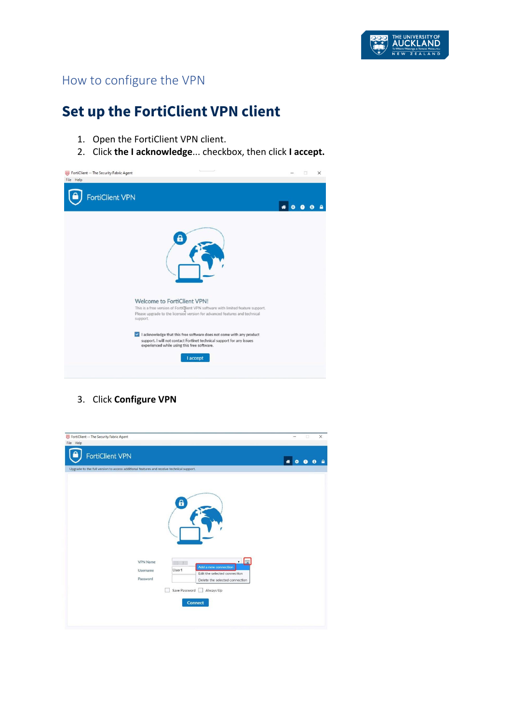

### How to configure the VPN

# **Set up the FortiClient VPN client**

- 1. Open the FortiClient VPN client.
- 2. Click **the I acknowledge**... checkbox, then click **I accept.**



3. Click **Configure VPN**

| FortiClient -- The Security Fabric Agent                                                 |                                                                                                                                                                                 | $\times$<br>$\Box$<br>$\overline{\phantom{m}}$ |
|------------------------------------------------------------------------------------------|---------------------------------------------------------------------------------------------------------------------------------------------------------------------------------|------------------------------------------------|
| File Help                                                                                |                                                                                                                                                                                 |                                                |
| FortiClient VPN                                                                          |                                                                                                                                                                                 | 俗                                              |
| Upgrade to the full version to access additional features and receive technical support. |                                                                                                                                                                                 |                                                |
| <b>VPN Name</b><br>Username<br>Password                                                  | 6<br>$\cdot \mathbb{R}$<br>Add a new connection<br>User1<br>Edit the selected connection<br>Delete the selected connection<br>Save Password<br>Always Up<br>m<br><b>Connect</b> |                                                |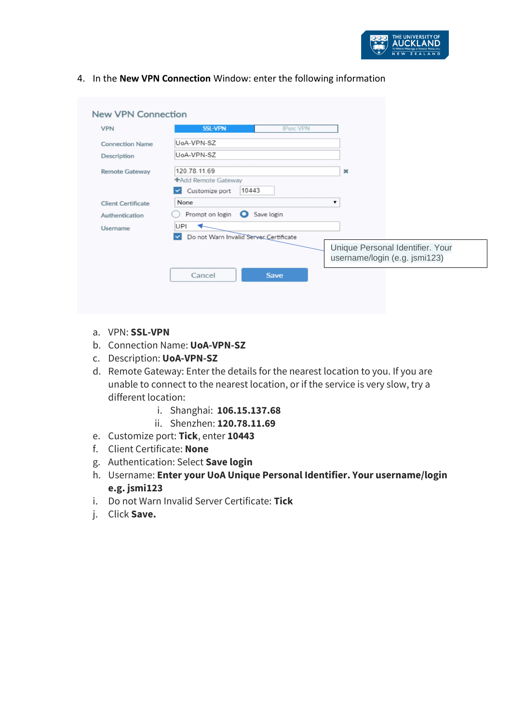

4. In the **New VPN Connection** Window: enter the following information

| <b>VPN</b>                | <b>SSL-VPN</b>                                         | <b>IPsec VPN</b> |                                                                   |
|---------------------------|--------------------------------------------------------|------------------|-------------------------------------------------------------------|
| <b>Connection Name</b>    | UoA-VPN-SZ                                             |                  |                                                                   |
| Description               | UoA-VPN-SZ                                             |                  |                                                                   |
| <b>Remote Gateway</b>     | 120.78.11.69                                           |                  | $\mathbf{x}$                                                      |
|                           | +Add Remote Gateway<br>Customize port<br>10443         |                  |                                                                   |
| <b>Client Certificate</b> | None                                                   |                  | ▼                                                                 |
| Authentication            | Prompt on login <b>O</b>                               | Save login       |                                                                   |
| Username                  | UPI                                                    |                  |                                                                   |
|                           | Do not Warn Invalid Server Certificate<br>$\checkmark$ |                  |                                                                   |
|                           |                                                        |                  | Unique Personal Identifier. Your<br>username/login (e.g. jsmi123) |
|                           | Cancel                                                 | <b>Save</b>      |                                                                   |

- a. VPN: **SSL-VPN**
- b. Connection Name: **UoA-VPN-SZ**
- c. Description: **UoA-VPN-SZ**
- d. Remote Gateway: Enter the details for the nearest location to you. If you are unable to connect to the nearest location, or if the service is very slow, try a different location:
	- i. Shanghai: **106.15.137.68**
	- ii. Shenzhen: **120.78.11.69**
- e. Customize port: **Tick**, enter **10443**
- f. Client Certificate: **None**
- g. Authentication: Select **Save login**
- h. Username: **Enter your UoA Unique Personal Identifier. Your username/login e.g. jsmi123**
- i. Do not Warn Invalid Server Certificate: **Tick**
- j. Click **Save.**